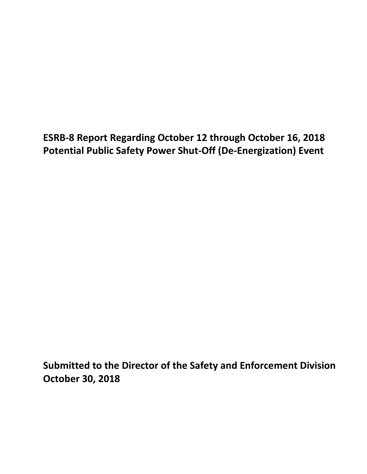**ESRB-8 Report Regarding October 12 through October 16, 2018 Potential Public Safety Power Shut-Off (De-Energization) Event** 

**Submitted to the Director of the Safety and Enforcement Division October 30, 2018**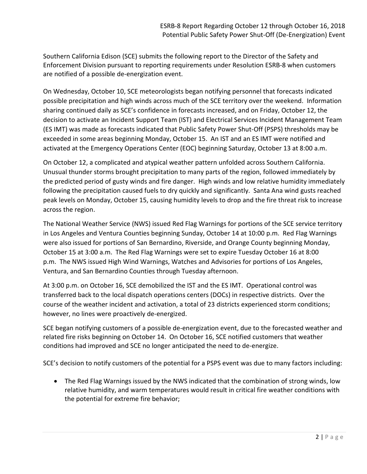Southern California Edison (SCE) submits the following report to the Director of the Safety and Enforcement Division pursuant to reporting requirements under Resolution ESRB-8 when customers are notified of a possible de-energization event.

On Wednesday, October 10, SCE meteorologists began notifying personnel that forecasts indicated possible precipitation and high winds across much of the SCE territory over the weekend. Information sharing continued daily as SCE's confidence in forecasts increased, and on Friday, October 12, the decision to activate an Incident Support Team (IST) and Electrical Services Incident Management Team (ES IMT) was made as forecasts indicated that Public Safety Power Shut-Off (PSPS) thresholds may be exceeded in some areas beginning Monday, October 15. An IST and an ES IMT were notified and activated at the Emergency Operations Center (EOC) beginning Saturday, October 13 at 8:00 a.m.

On October 12, a complicated and atypical weather pattern unfolded across Southern California. Unusual thunder storms brought precipitation to many parts of the region, followed immediately by the predicted period of gusty winds and fire danger. High winds and low relative humidity immediately following the precipitation caused fuels to dry quickly and significantly. Santa Ana wind gusts reached peak levels on Monday, October 15, causing humidity levels to drop and the fire threat risk to increase across the region.

The National Weather Service (NWS) issued Red Flag Warnings for portions of the SCE service territory in Los Angeles and Ventura Counties beginning Sunday, October 14 at 10:00 p.m. Red Flag Warnings were also issued for portions of San Bernardino, Riverside, and Orange County beginning Monday, October 15 at 3:00 a.m. The Red Flag Warnings were set to expire Tuesday October 16 at 8:00 p.m. The NWS issued High Wind Warnings, Watches and Advisories for portions of Los Angeles, Ventura, and San Bernardino Counties through Tuesday afternoon.

At 3:00 p.m. on October 16, SCE demobilized the IST and the ES IMT. Operational control was transferred back to the local dispatch operations centers (DOCs) in respective districts. Over the course of the weather incident and activation, a total of 23 districts experienced storm conditions; however, no lines were proactively de-energized.

SCE began notifying customers of a possible de-energization event, due to the forecasted weather and related fire risks beginning on October 14. On October 16, SCE notified customers that weather conditions had improved and SCE no longer anticipated the need to de-energize.

SCE's decision to notify customers of the potential for a PSPS event was due to many factors including:

• The Red Flag Warnings issued by the NWS indicated that the combination of strong winds, low relative humidity, and warm temperatures would result in critical fire weather conditions with the potential for extreme fire behavior;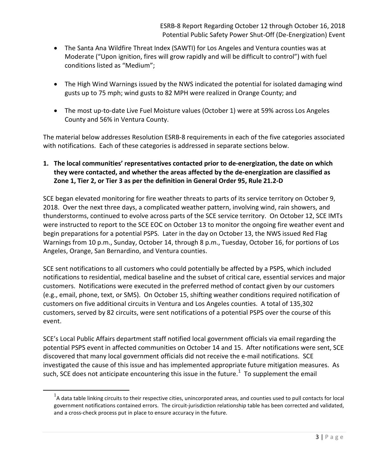- The Santa Ana Wildfire Threat Index (SAWTI) for Los Angeles and Ventura counties was at Moderate ("Upon ignition, fires will grow rapidly and will be difficult to control") with fuel conditions listed as "Medium";
- The High Wind Warnings issued by the NWS indicated the potential for isolated damaging wind gusts up to 75 mph; wind gusts to 82 MPH were realized in Orange County; and
- The most up-to-date Live Fuel Moisture values (October 1) were at 59% across Los Angeles County and 56% in Ventura County.

The material below addresses Resolution ESRB-8 requirements in each of the five categories associated with notifications. Each of these categories is addressed in separate sections below.

## **1. The local communities' representatives contacted prior to de-energization, the date on which they were contacted, and whether the areas affected by the de-energization are classified as Zone 1, Tier 2, or Tier 3 as per the definition in General Order 95, Rule 21.2-D**

SCE began elevated monitoring for fire weather threats to parts of its service territory on October 9, 2018. Over the next three days, a complicated weather pattern, involving wind, rain showers, and thunderstorms, continued to evolve across parts of the SCE service territory. On October 12, SCE IMTs were instructed to report to the SCE EOC on October 13 to monitor the ongoing fire weather event and begin preparations for a potential PSPS. Later in the day on October 13, the NWS issued Red Flag Warnings from 10 p.m., Sunday, October 14, through 8 p.m., Tuesday, October 16, for portions of Los Angeles, Orange, San Bernardino, and Ventura counties.

SCE sent notifications to all customers who could potentially be affected by a PSPS, which included notifications to residential, medical baseline and the subset of critical care, essential services and major customers. Notifications were executed in the preferred method of contact given by our customers (e.g., email, phone, text, or SMS). On October 15, shifting weather conditions required notification of customers on five additional circuits in Ventura and Los Angeles counties. A total of 135,302 customers, served by 82 circuits, were sent notifications of a potential PSPS over the course of this event.

SCE's Local Public Affairs department staff notified local government officials via email regarding the potential PSPS event in affected communities on October 14 and 15. After notifications were sent, SCE discovered that many local government officials did not receive the e-mail notifications. SCE investigated the cause of this issue and has implemented appropriate future mitigation measures. As such, SCE does not anticipate encountering this issue in the future.<sup>[1](#page-2-0)</sup> To supplement the email

<span id="page-2-0"></span>l

 $<sup>1</sup>$ A data table linking circuits to their respective cities, unincorporated areas, and counties used to pull contacts for local</sup> government notifications contained errors. The circuit-jurisdiction relationship table has been corrected and validated, and a cross-check process put in place to ensure accuracy in the future.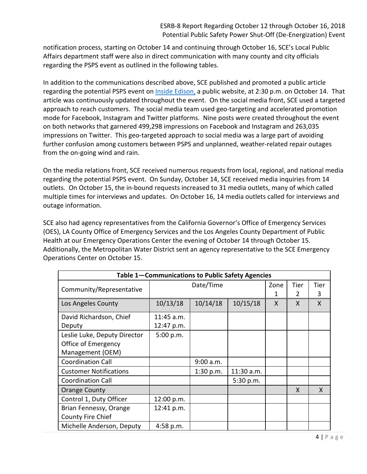notification process, starting on October 14 and continuing through October 16, SCE's Local Public Affairs department staff were also in direct communication with many county and city officials regarding the PSPS event as outlined in the following tables.

In addition to the communications described above, SCE published and promoted a public article regarding the potential PSPS event on *Inside Edison*, a public website, at 2:30 p.m. on October 14. That article was continuously updated throughout the event. On the social media front, SCE used a targeted approach to reach customers. The social media team used geo-targeting and accelerated promotion mode for Facebook, Instagram and Twitter platforms. Nine posts were created throughout the event on both networks that garnered 499,298 impressions on Facebook and Instagram and 263,035 impressions on Twitter. This geo-targeted approach to social media was a large part of avoiding further confusion among customers between PSPS and unplanned, weather-related repair outages from the on-going wind and rain.

On the media relations front, SCE received numerous requests from local, regional, and national media regarding the potential PSPS event. On Sunday, October 14, SCE received media inquiries from 14 outlets. On October 15, the in-bound requests increased to 31 media outlets, many of which called multiple times for interviews and updates. On October 16, 14 media outlets called for interviews and outage information.

SCE also had agency representatives from the California Governor's Office of Emergency Services (OES), LA County Office of Emergency Services and the Los Angeles County Department of Public Health at our Emergency Operations Center the evening of October 14 through October 15. Additionally, the Metropolitan Water District sent an agency representative to the SCE Emergency Operations Center on October 15.

| Table 1-Communications to Public Safety Agencies |              |           |            |      |      |      |
|--------------------------------------------------|--------------|-----------|------------|------|------|------|
|                                                  | Date/Time    |           |            | Zone | Tier | Tier |
| Community/Representative                         |              |           |            |      | 2    | 3    |
| Los Angeles County                               | 10/13/18     | 10/14/18  | 10/15/18   | X    | X    | X    |
| David Richardson, Chief                          | $11:45$ a.m. |           |            |      |      |      |
| Deputy                                           | 12:47 p.m.   |           |            |      |      |      |
| Leslie Luke, Deputy Director                     | 5:00 p.m.    |           |            |      |      |      |
| Office of Emergency                              |              |           |            |      |      |      |
| Management (OEM)                                 |              |           |            |      |      |      |
| <b>Coordination Call</b>                         |              | 9:00 a.m. |            |      |      |      |
| <b>Customer Notifications</b>                    |              | 1:30 p.m. | 11:30 a.m. |      |      |      |
| <b>Coordination Call</b>                         |              |           | 5:30 p.m.  |      |      |      |
| <b>Orange County</b>                             |              |           |            |      | X    | X    |
| Control 1, Duty Officer                          | 12:00 p.m.   |           |            |      |      |      |
| Brian Fennessy, Orange                           | 12:41 p.m.   |           |            |      |      |      |
| County Fire Chief                                |              |           |            |      |      |      |
| Michelle Anderson, Deputy                        | 4:58 p.m.    |           |            |      |      |      |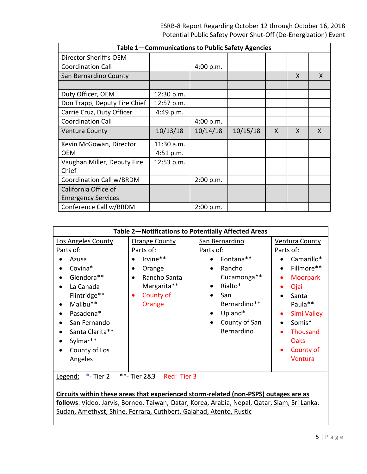| Table 1-Communications to Public Safety Agencies |            |           |          |   |   |   |
|--------------------------------------------------|------------|-----------|----------|---|---|---|
| Director Sheriff's OEM                           |            |           |          |   |   |   |
| <b>Coordination Call</b>                         |            | 4:00 p.m. |          |   |   |   |
| San Bernardino County                            |            |           |          |   | X | X |
|                                                  |            |           |          |   |   |   |
| Duty Officer, OEM                                | 12:30 p.m. |           |          |   |   |   |
| Don Trapp, Deputy Fire Chief                     | 12:57 p.m. |           |          |   |   |   |
| Carrie Cruz, Duty Officer                        | 4:49 p.m.  |           |          |   |   |   |
| <b>Coordination Call</b>                         |            | 4:00 p.m. |          |   |   |   |
| <b>Ventura County</b>                            | 10/13/18   | 10/14/18  | 10/15/18 | X | X | X |
| Kevin McGowan, Director                          | 11:30 a.m. |           |          |   |   |   |
| OFM                                              | 4:51 p.m.  |           |          |   |   |   |
| Vaughan Miller, Deputy Fire<br>Chief             | 12:53 p.m. |           |          |   |   |   |
| Coordination Call w/BRDM                         |            | 2:00 p.m. |          |   |   |   |
| California Office of                             |            |           |          |   |   |   |
| <b>Emergency Services</b>                        |            |           |          |   |   |   |
| Conference Call w/BRDM                           |            | 2:00 p.m. |          |   |   |   |

| Table 2-Notifications to Potentially Affected Areas                                                                                         |                                                                                                                    |                                                                                                                               |                                                                                                                        |  |
|---------------------------------------------------------------------------------------------------------------------------------------------|--------------------------------------------------------------------------------------------------------------------|-------------------------------------------------------------------------------------------------------------------------------|------------------------------------------------------------------------------------------------------------------------|--|
| <b>Los Angeles County</b><br>Parts of:<br>Azusa<br>Covina*<br>Glendora**<br>La Canada<br>$\bullet$<br>Flintridge**<br>Malibu**<br>$\bullet$ | <b>Orange County</b><br>Parts of:<br>Irvine**<br>Orange<br>Rancho Santa<br>Margarita**<br>County of<br>٠<br>Orange | San Bernardino<br>Parts of:<br>Fontana**<br>Rancho<br>Cucamonga**<br>Rialto*<br>$\bullet$<br>San<br>$\bullet$<br>Bernardino** | <b>Ventura County</b><br>Parts of:<br>Camarillo*<br>Fillmore**<br><b>Moorpark</b><br>Ojai<br>Santa<br>Paula**          |  |
| Pasadena*<br>San Fernando<br>Santa Clarita**<br>Sylmar**<br>County of Los<br>$\bullet$<br>Angeles<br>$*$ - Tier 2<br>Legend:                | **- Tier 2&3<br>Red: Tier 3                                                                                        | Upland*<br>$\bullet$<br>County of San<br>Bernardino                                                                           | Simi Valley<br>$\bullet$<br>Somis*<br><b>Thousand</b><br>$\bullet$<br><b>Oaks</b><br>County of<br>$\bullet$<br>Ventura |  |

**Circuits within these areas that experienced storm-related (non-PSPS) outages are as follows**: Video, Jarvis, Borneo, Taiwan, Qatar, Korea, Arabia, Nepal, Qatar, Siam, Sri Lanka, Sudan, Amethyst, Shine, Ferrara, Cuthbert, Galahad, Atento, Rustic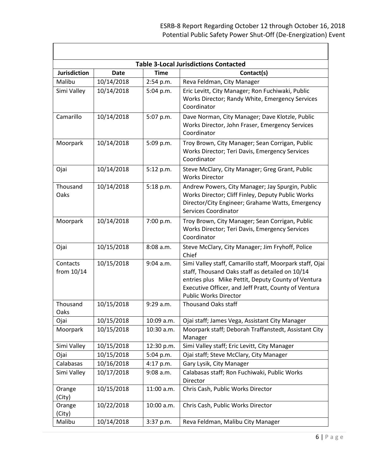| <b>Table 3-Local Jurisdictions Contacted</b> |             |             |                                                                                                                                                                                                                                                           |  |  |
|----------------------------------------------|-------------|-------------|-----------------------------------------------------------------------------------------------------------------------------------------------------------------------------------------------------------------------------------------------------------|--|--|
| <b>Jurisdiction</b>                          | <b>Date</b> | <b>Time</b> | Contact(s)                                                                                                                                                                                                                                                |  |  |
| Malibu                                       | 10/14/2018  | 2:54 p.m.   | Reva Feldman, City Manager                                                                                                                                                                                                                                |  |  |
| Simi Valley                                  | 10/14/2018  | 5:04 p.m.   | Eric Levitt, City Manager; Ron Fuchiwaki, Public<br>Works Director; Randy White, Emergency Services<br>Coordinator                                                                                                                                        |  |  |
| Camarillo                                    | 10/14/2018  | 5:07 p.m.   | Dave Norman, City Manager; Dave Klotzle, Public<br>Works Director, John Fraser, Emergency Services<br>Coordinator                                                                                                                                         |  |  |
| Moorpark                                     | 10/14/2018  | 5:09 p.m.   | Troy Brown, City Manager; Sean Corrigan, Public<br>Works Director; Teri Davis, Emergency Services<br>Coordinator                                                                                                                                          |  |  |
| Ojai                                         | 10/14/2018  | 5:12 p.m.   | Steve McClary, City Manager; Greg Grant, Public<br><b>Works Director</b>                                                                                                                                                                                  |  |  |
| Thousand<br>Oaks                             | 10/14/2018  | 5:18 p.m.   | Andrew Powers, City Manager; Jay Spurgin, Public<br>Works Director; Cliff Finley, Deputy Public Works<br>Director/City Engineer; Grahame Watts, Emergency<br>Services Coordinator                                                                         |  |  |
| Moorpark                                     | 10/14/2018  | 7:00 p.m.   | Troy Brown, City Manager; Sean Corrigan, Public<br>Works Director; Teri Davis, Emergency Services<br>Coordinator                                                                                                                                          |  |  |
| Ojai                                         | 10/15/2018  | 8:08 a.m.   | Steve McClary, City Manager; Jim Fryhoff, Police<br>Chief                                                                                                                                                                                                 |  |  |
| Contacts<br>from 10/14                       | 10/15/2018  | 9:04 a.m.   | Simi Valley staff, Camarillo staff, Moorpark staff, Ojai<br>staff, Thousand Oaks staff as detailed on 10/14<br>entries plus Mike Pettit, Deputy County of Ventura<br>Executive Officer, and Jeff Pratt, County of Ventura<br><b>Public Works Director</b> |  |  |
| Thousand<br>Oaks                             | 10/15/2018  | 9:29 a.m.   | <b>Thousand Oaks staff</b>                                                                                                                                                                                                                                |  |  |
| Ojai                                         | 10/15/2018  | 10:09 a.m.  | Ojai staff; James Vega, Assistant City Manager                                                                                                                                                                                                            |  |  |
| Moorpark                                     | 10/15/2018  | 10:30 a.m.  | Moorpark staff; Deborah Traffanstedt, Assistant City<br>Manager                                                                                                                                                                                           |  |  |
| Simi Valley                                  | 10/15/2018  | 12:30 p.m.  | Simi Valley staff; Eric Levitt, City Manager                                                                                                                                                                                                              |  |  |
| Ojai                                         | 10/15/2018  | 5:04 p.m.   | Ojai staff; Steve McClary, City Manager                                                                                                                                                                                                                   |  |  |
| Calabasas                                    | 10/16/2018  | 4:17 p.m.   | Gary Lysik, City Manager                                                                                                                                                                                                                                  |  |  |
| Simi Valley                                  | 10/17/2018  | 9:08 a.m.   | Calabasas staff; Ron Fuchiwaki, Public Works<br>Director                                                                                                                                                                                                  |  |  |
| Orange<br>(City)                             | 10/15/2018  | 11:00 a.m.  | Chris Cash, Public Works Director                                                                                                                                                                                                                         |  |  |
| Orange<br>(City)                             | 10/22/2018  | 10:00 a.m.  | Chris Cash, Public Works Director                                                                                                                                                                                                                         |  |  |
| Malibu                                       | 10/14/2018  | 3:37 p.m.   | Reva Feldman, Malibu City Manager                                                                                                                                                                                                                         |  |  |

 $\mathbf{I}$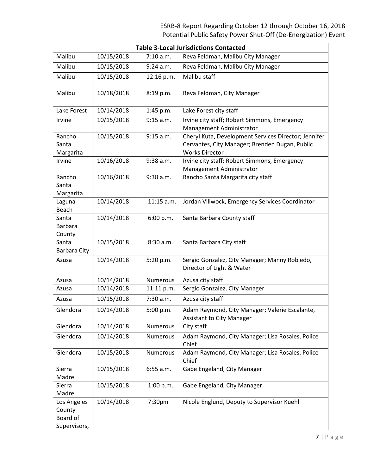# ESRB-8 Report Regarding October 12 through October 16, 2018 Potential Public Safety Power Shut-Off (De-Energization) Event

| <b>Table 3-Local Jurisdictions Contacted</b> |            |                 |                                                                          |  |
|----------------------------------------------|------------|-----------------|--------------------------------------------------------------------------|--|
| Malibu                                       | 10/15/2018 | 7:10 a.m.       | Reva Feldman, Malibu City Manager                                        |  |
| Malibu                                       | 10/15/2018 | $9:24$ a.m.     | Reva Feldman, Malibu City Manager                                        |  |
| Malibu                                       | 10/15/2018 | 12:16 p.m.      | Malibu staff                                                             |  |
| Malibu                                       | 10/18/2018 | 8:19 p.m.       | Reva Feldman, City Manager                                               |  |
| Lake Forest                                  | 10/14/2018 | 1:45 p.m.       | Lake Forest city staff                                                   |  |
| Irvine                                       | 10/15/2018 | 9:15 a.m.       | Irvine city staff; Robert Simmons, Emergency                             |  |
|                                              |            |                 | Management Administrator                                                 |  |
| Rancho                                       | 10/15/2018 | 9:15 a.m.       | Cheryl Kuta, Development Services Director; Jennifer                     |  |
| Santa                                        |            |                 | Cervantes, City Manager; Brenden Dugan, Public                           |  |
| Margarita                                    |            |                 | <b>Works Director</b>                                                    |  |
| Irvine                                       | 10/16/2018 | 9:38 a.m.       | Irvine city staff; Robert Simmons, Emergency<br>Management Administrator |  |
| Rancho                                       | 10/16/2018 | 9:38 a.m.       | Rancho Santa Margarita city staff                                        |  |
| Santa                                        |            |                 |                                                                          |  |
| Margarita                                    |            |                 |                                                                          |  |
| Laguna                                       | 10/14/2018 | $11:15$ a.m.    | Jordan Villwock, Emergency Services Coordinator                          |  |
| Beach                                        |            |                 |                                                                          |  |
| Santa                                        | 10/14/2018 | 6:00 p.m.       | Santa Barbara County staff                                               |  |
| <b>Barbara</b>                               |            |                 |                                                                          |  |
| County<br>Santa                              | 10/15/2018 | 8:30 a.m.       | Santa Barbara City staff                                                 |  |
| <b>Barbara City</b>                          |            |                 |                                                                          |  |
| Azusa                                        | 10/14/2018 | 5:20 p.m.       | Sergio Gonzalez, City Manager; Manny Robledo,                            |  |
|                                              |            |                 | Director of Light & Water                                                |  |
| Azusa                                        | 10/14/2018 | <b>Numerous</b> | Azusa city staff                                                         |  |
| Azusa                                        | 10/14/2018 | 11:11 p.m.      | Sergio Gonzalez, City Manager                                            |  |
| Azusa                                        | 10/15/2018 | 7:30 a.m.       | Azusa city staff                                                         |  |
| Glendora                                     | 10/14/2018 | 5:00 p.m.       | Adam Raymond, City Manager; Valerie Escalante,                           |  |
|                                              |            |                 | <b>Assistant to City Manager</b>                                         |  |
| Glendora                                     | 10/14/2018 | <b>Numerous</b> | City staff                                                               |  |
| Glendora                                     | 10/14/2018 | Numerous        | Adam Raymond, City Manager; Lisa Rosales, Police<br>Chief                |  |
| Glendora                                     | 10/15/2018 | Numerous        | Adam Raymond, City Manager; Lisa Rosales, Police<br>Chief                |  |
| Sierra                                       | 10/15/2018 | $6:55$ a.m.     | Gabe Engeland, City Manager                                              |  |
| Madre                                        |            |                 |                                                                          |  |
| Sierra                                       | 10/15/2018 | 1:00 p.m.       | Gabe Engeland, City Manager                                              |  |
| Madre                                        |            |                 |                                                                          |  |
| Los Angeles                                  | 10/14/2018 | 7:30pm          | Nicole Englund, Deputy to Supervisor Kuehl                               |  |
| County                                       |            |                 |                                                                          |  |
| Board of                                     |            |                 |                                                                          |  |
| Supervisors,                                 |            |                 |                                                                          |  |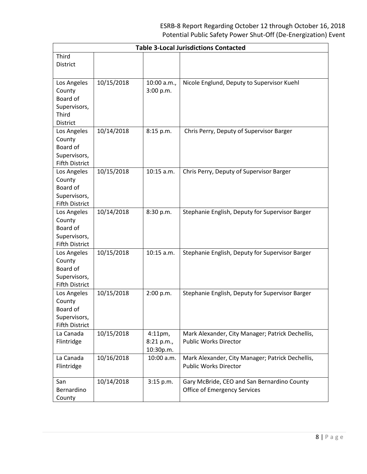| <b>Table 3-Local Jurisdictions Contacted</b>                                      |            |                                       |                                                                                  |  |
|-----------------------------------------------------------------------------------|------------|---------------------------------------|----------------------------------------------------------------------------------|--|
| Third                                                                             |            |                                       |                                                                                  |  |
| <b>District</b>                                                                   |            |                                       |                                                                                  |  |
| Los Angeles<br>County<br>Board of<br>Supervisors,<br>Third<br><b>District</b>     | 10/15/2018 | 10:00 a.m.,<br>3:00 p.m.              | Nicole Englund, Deputy to Supervisor Kuehl                                       |  |
| Los Angeles<br>County<br>Board of<br>Supervisors,<br><b>Fifth District</b>        | 10/14/2018 | 8:15 p.m.                             | Chris Perry, Deputy of Supervisor Barger                                         |  |
| Los Angeles<br>County<br><b>Board of</b><br>Supervisors,<br><b>Fifth District</b> | 10/15/2018 | $10:15$ a.m.                          | Chris Perry, Deputy of Supervisor Barger                                         |  |
| Los Angeles<br>County<br>Board of<br>Supervisors,<br><b>Fifth District</b>        | 10/14/2018 | 8:30 p.m.                             | Stephanie English, Deputy for Supervisor Barger                                  |  |
| Los Angeles<br>County<br>Board of<br>Supervisors,<br><b>Fifth District</b>        | 10/15/2018 | 10:15 a.m.                            | Stephanie English, Deputy for Supervisor Barger                                  |  |
| Los Angeles<br>County<br>Board of<br>Supervisors,<br><b>Fifth District</b>        | 10/15/2018 | 2:00 p.m.                             | Stephanie English, Deputy for Supervisor Barger                                  |  |
| La Canada<br>Flintridge                                                           | 10/15/2018 | $4:11$ pm,<br>8:21 p.m.,<br>10:30p.m. | Mark Alexander, City Manager; Patrick Dechellis,<br><b>Public Works Director</b> |  |
| La Canada<br>Flintridge                                                           | 10/16/2018 | 10:00 a.m.                            | Mark Alexander, City Manager; Patrick Dechellis,<br><b>Public Works Director</b> |  |
| San<br>Bernardino<br>County                                                       | 10/14/2018 | 3:15 p.m.                             | Gary McBride, CEO and San Bernardino County<br>Office of Emergency Services      |  |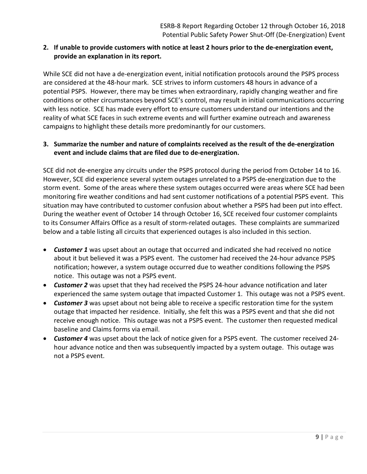### **2. If unable to provide customers with notice at least 2 hours prior to the de-energization event, provide an explanation in its report.**

While SCE did not have a de-energization event, initial notification protocols around the PSPS process are considered at the 48-hour mark. SCE strives to inform customers 48 hours in advance of a potential PSPS. However, there may be times when extraordinary, rapidly changing weather and fire conditions or other circumstances beyond SCE's control, may result in initial communications occurring with less notice. SCE has made every effort to ensure customers understand our intentions and the reality of what SCE faces in such extreme events and will further examine outreach and awareness campaigns to highlight these details more predominantly for our customers.

### **3. Summarize the number and nature of complaints received as the result of the de-energization event and include claims that are filed due to de-energization.**

SCE did not de-energize any circuits under the PSPS protocol during the period from October 14 to 16. However, SCE did experience several system outages unrelated to a PSPS de-energization due to the storm event. Some of the areas where these system outages occurred were areas where SCE had been monitoring fire weather conditions and had sent customer notifications of a potential PSPS event. This situation may have contributed to customer confusion about whether a PSPS had been put into effect. During the weather event of October 14 through October 16, SCE received four customer complaints to its Consumer Affairs Office as a result of storm-related outages. These complaints are summarized below and a table listing all circuits that experienced outages is also included in this section.

- *Customer 1* was upset about an outage that occurred and indicated she had received no notice about it but believed it was a PSPS event. The customer had received the 24-hour advance PSPS notification; however, a system outage occurred due to weather conditions following the PSPS notice. This outage was not a PSPS event.
- *Customer 2* was upset that they had received the PSPS 24-hour advance notification and later experienced the same system outage that impacted Customer 1. This outage was not a PSPS event.
- *Customer 3* was upset about not being able to receive a specific restoration time for the system outage that impacted her residence. Initially, she felt this was a PSPS event and that she did not receive enough notice. This outage was not a PSPS event. The customer then requested medical baseline and Claims forms via email.
- *Customer 4* was upset about the lack of notice given for a PSPS event. The customer received 24 hour advance notice and then was subsequently impacted by a system outage. This outage was not a PSPS event.